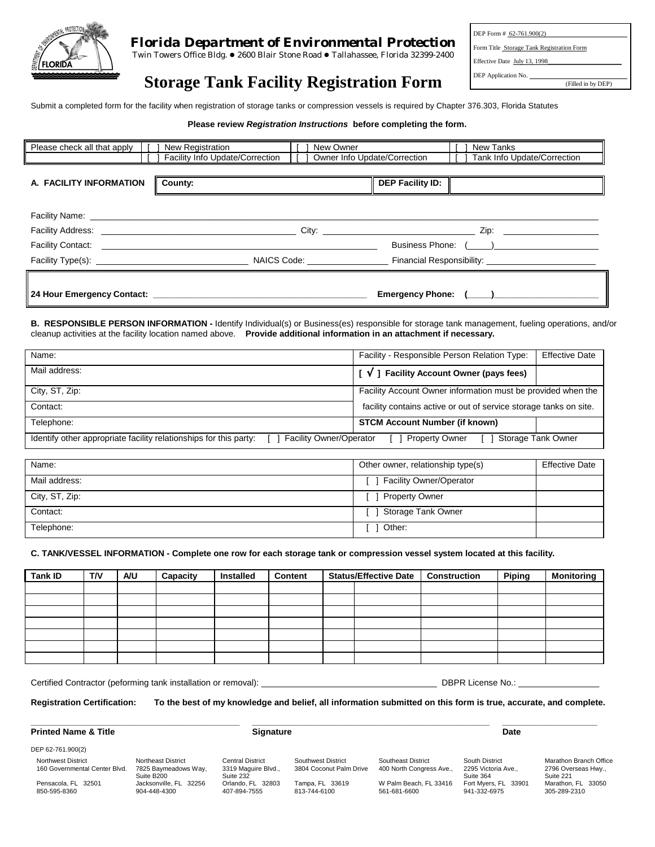

# *Florida Department of Environmental Protection*

Twin Towers Office Bldg. . 2600 Blair Stone Road . Tallahassee, Florida 32399-2400

DEP Form # 62-761.900(2) Form Title Storage Tank Registration Form Effective Date July 13, 1998 DEP Application No. (Filled in by DEP)

# **Storage Tank Facility Registration Form**

Submit a completed form for the facility when registration of storage tanks or compression vessels is required by Chapter 376.303, Florida Statutes

#### **Please review** *Registration Instructions* **before completing the form.**

| Please check all that apply | New Registration<br>New Owner                                                                                                                                                                                                  | New Tanks                                                                                                                                                                                                                     |
|-----------------------------|--------------------------------------------------------------------------------------------------------------------------------------------------------------------------------------------------------------------------------|-------------------------------------------------------------------------------------------------------------------------------------------------------------------------------------------------------------------------------|
|                             | Facility Info Update/Correction<br>Owner Info Update/Correction                                                                                                                                                                | Tank Info Update/Correction                                                                                                                                                                                                   |
|                             |                                                                                                                                                                                                                                |                                                                                                                                                                                                                               |
| A. FACILITY INFORMATION     | County:                                                                                                                                                                                                                        | <b>DEP Facility ID:</b>                                                                                                                                                                                                       |
|                             |                                                                                                                                                                                                                                |                                                                                                                                                                                                                               |
|                             |                                                                                                                                                                                                                                |                                                                                                                                                                                                                               |
|                             |                                                                                                                                                                                                                                |                                                                                                                                                                                                                               |
|                             | Facility Contact: The Contract of the Contract of the Contract of the Contract of the Contract of the Contract of the Contract of the Contract of the Contract of the Contract of the Contract of the Contract of the Contract |                                                                                                                                                                                                                               |
|                             |                                                                                                                                                                                                                                | Financial Responsibility: The Contract of the Contract of the Contract of the Contract of the Contract of the Contract of the Contract of the Contract of the Contract of the Contract of the Contract of the Contract of the |
|                             |                                                                                                                                                                                                                                |                                                                                                                                                                                                                               |
|                             |                                                                                                                                                                                                                                | Emergency Phone: ( )                                                                                                                                                                                                          |

**B. RESPONSIBLE PERSON INFORMATION -** Identify Individual(s) or Business(es) responsible for storage tank management, fueling operations, and/or cleanup activities at the facility location named above. **Provide additional information in an attachment if necessary.**

| Name:                                                                                               | Facility - Responsible Person Relation Type:<br><b>Effective Date</b> |
|-----------------------------------------------------------------------------------------------------|-----------------------------------------------------------------------|
| Mail address:                                                                                       | <b>Facility Account Owner (pays fees)</b><br>$\mathcal{N}$            |
| City, ST, Zip:                                                                                      | Facility Account Owner information must be provided when the          |
| Contact:                                                                                            | facility contains active or out of service storage tanks on site.     |
| Telephone:                                                                                          | <b>STCM Account Number (if known)</b>                                 |
| Identify other appropriate facility relationships for this party:<br><b>Facility Owner/Operator</b> | Storage Tank Owner<br><b>Property Owner</b>                           |
|                                                                                                     |                                                                       |

| Name:          | Other owner, relationship type(s) | <b>Effective Date</b> |
|----------------|-----------------------------------|-----------------------|
| Mail address:  | <b>Facility Owner/Operator</b>    |                       |
| City, ST, Zip: | <b>Property Owner</b>             |                       |
| Contact:       | Storage Tank Owner                |                       |
| Telephone:     | Other:                            |                       |

### **C. TANK/VESSEL INFORMATION - Complete one row for each storage tank or compression vessel system located at this facility.**

| <b>Tank ID</b> | <b>T/V</b> | A/U | Capacity | <b>Installed</b> | Content | <b>Status/Effective Date</b> | <b>Construction</b> | <b>Piping</b> | <b>Monitoring</b> |
|----------------|------------|-----|----------|------------------|---------|------------------------------|---------------------|---------------|-------------------|
|                |            |     |          |                  |         |                              |                     |               |                   |
|                |            |     |          |                  |         |                              |                     |               |                   |
|                |            |     |          |                  |         |                              |                     |               |                   |
|                |            |     |          |                  |         |                              |                     |               |                   |
|                |            |     |          |                  |         |                              |                     |               |                   |
|                |            |     |          |                  |         |                              |                     |               |                   |
|                |            |     |          |                  |         |                              |                     |               |                   |

Certified Contractor (peforming tank installation or removal): \_\_\_\_\_\_\_\_\_\_\_\_\_\_\_\_\_\_\_\_\_\_\_\_\_\_\_\_\_\_\_\_\_\_\_\_\_ DBPR License No.: \_\_\_\_\_\_\_\_\_\_\_\_\_\_\_\_\_

**Registration Certification: To the best of my knowledge and belief, all information submitted on this form is true, accurate, and complete.**

#### **Printed Name & Title Community Community Community Community Signature Community Community Community Community**

DEP 62-761.900(2)

**\_\_\_\_\_\_\_\_\_\_\_\_\_\_\_\_\_\_\_\_\_\_\_\_\_\_\_\_\_\_\_\_\_\_\_\_\_\_\_\_\_\_\_\_ \_\_\_\_\_\_\_\_\_\_\_\_\_\_\_\_\_\_\_\_\_\_\_\_\_\_\_\_\_\_\_\_\_\_\_\_\_\_\_\_\_\_\_\_\_\_\_\_\_\_ \_\_\_\_\_\_\_\_\_\_\_\_\_\_\_\_\_\_\_\_**

Northwest District 160 Governmental Center Blvd. Pensacola, FL 32501 850-595-8360 Northeast District

7825 Baymeadows Way, Suite B200 Jacksonville, FL 32256 904-448-4300

Central District 3319 Maguire Blvd., Suite 232 Orlando, FL 32803 407-894-7555

Southwest District 3804 Coconut Palm Drive Tampa, FL 33619 813-744-6100

Southeast District 400 North Congress Ave., W Palm Beach, FL 33416 561-681-6600

South District 2295 Victoria Ave., Suite 364 Fort Myers, FL 33901 941-332-6975 Marathon Branch Office 2796 Overseas Hwy., Suite 221 Marathon, FL 33050 305-289-2310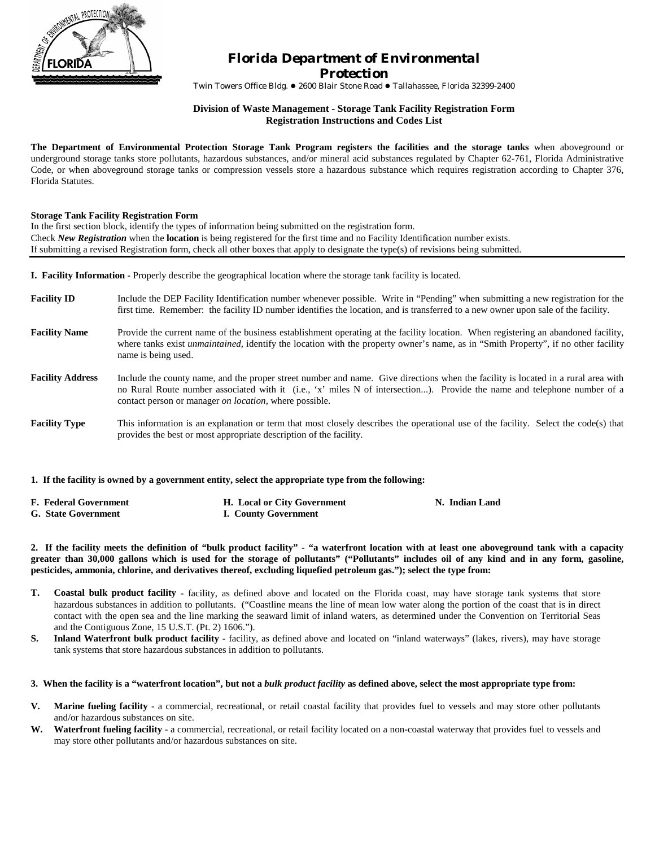

# *Florida Department of Environmental Protection*

Twin Towers Office Bldg. ● 2600 Blair Stone Road ● Tallahassee, Florida 32399-2400

## **Division of Waste Management - Storage Tank Facility Registration Form Registration Instructions and Codes List**

**The Department of Environmental Protection Storage Tank Program registers the facilities and the storage tanks** when aboveground or underground storage tanks store pollutants, hazardous substances, and/or mineral acid substances regulated by Chapter 62-761, Florida Administrative Code, or when aboveground storage tanks or compression vessels store a hazardous substance which requires registration according to Chapter 376, Florida Statutes.

## **Storage Tank Facility Registration Form**

In the first section block, identify the types of information being submitted on the registration form. Check *New Registration* when the **location** is being registered for the first time and no Facility Identification number exists. If submitting a revised Registration form, check all other boxes that apply to designate the type(s) of revisions being submitted.

**I. Facility Information -** Properly describe the geographical location where the storage tank facility is located.

- **Facility ID** Include the DEP Facility Identification number whenever possible. Write in "Pending" when submitting a new registration for the first time. Remember: the facility ID number identifies the location, and is transferred to a new owner upon sale of the facility.
- **Facility Name** Provide the current name of the business establishment operating at the facility location. When registering an abandoned facility, where tanks exist *unmaintained*, identify the location with the property owner's name, as in "Smith Property", if no other facility name is being used.
- **Facility Address** Include the county name, and the proper street number and name. Give directions when the facility is located in a rural area with no Rural Route number associated with it (i.e., 'x' miles N of intersection...). Provide the name and telephone number of a contact person or manager *on location,* where possible.
- **Facility Type** This information is an explanation or term that most closely describes the operational use of the facility. Select the code(s) that provides the best or most appropriate description of the facility.

**1. If the facility is owned by a government entity, select the appropriate type from the following:**

| <b>F. Federal Government</b> | <b>H.</b> Local or City Government | N. Indian Land |
|------------------------------|------------------------------------|----------------|
| <b>G.</b> State Government   | I. County Government               |                |

**2. If the facility meets the definition of "bulk product facility" - "a waterfront location with at least one aboveground tank with a capacity greater than 30,000 gallons which is used for the storage of pollutants" ("Pollutants" includes oil of any kind and in any form, gasoline, pesticides, ammonia, chlorine, and derivatives thereof, excluding liquefied petroleum gas."); select the type from:**

- **T. Coastal bulk product facility** facility, as defined above and located on the Florida coast, may have storage tank systems that store hazardous substances in addition to pollutants. ("Coastline means the line of mean low water along the portion of the coast that is in direct contact with the open sea and the line marking the seaward limit of inland waters, as determined under the Convention on Territorial Seas and the Contiguous Zone, 15 U.S.T. (Pt. 2) 1606.").
- **S.** Inland Waterfront bulk product facility facility, as defined above and located on "inland waterways" (lakes, rivers), may have storage tank systems that store hazardous substances in addition to pollutants.

## **3. When the facility is a "waterfront location", but not a** *bulk product facility* **as defined above, select the most appropriate type from:**

- **V. Marine fueling facility** a commercial, recreational, or retail coastal facility that provides fuel to vessels and may store other pollutants and/or hazardous substances on site.
- W. Waterfront fueling facility a commercial, recreational, or retail facility located on a non-coastal waterway that provides fuel to vessels and may store other pollutants and/or hazardous substances on site.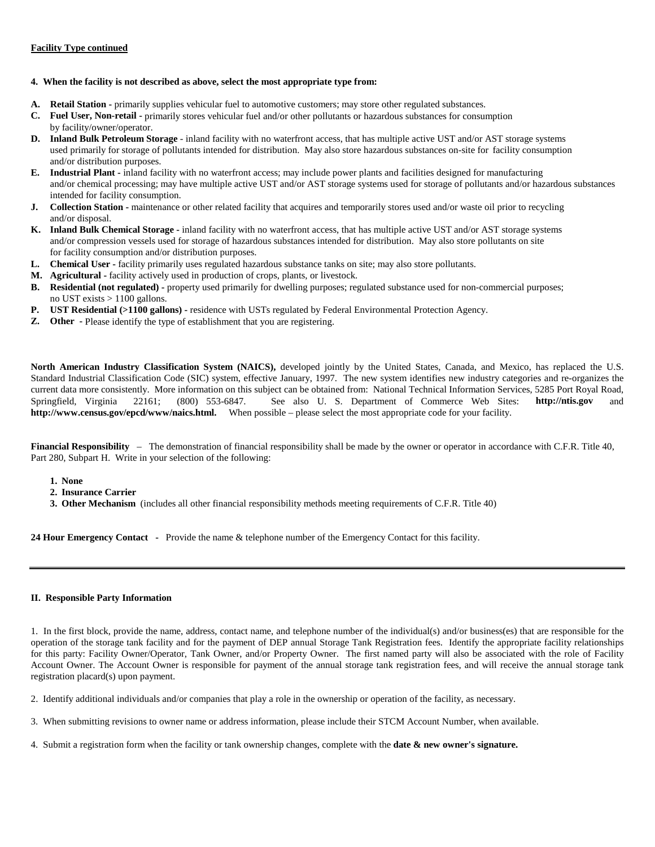## **Facility Type continued**

## **4. When the facility is not described as above, select the most appropriate type from:**

- **A. Retail Station** primarily supplies vehicular fuel to automotive customers; may store other regulated substances.
- **C. Fuel User, Non-retail** primarily stores vehicular fuel and/or other pollutants or hazardous substances for consumption by facility/owner/operator.
- **D. Inland Bulk Petroleum Storage**  inland facility with no waterfront access, that has multiple active UST and/or AST storage systems used primarily for storage of pollutants intended for distribution. May also store hazardous substances on-site for facility consumption and/or distribution purposes.
- **E. Industrial Plant -** inland facility with no waterfront access; may include power plants and facilities designed for manufacturing and/or chemical processing; may have multiple active UST and/or AST storage systems used for storage of pollutants and/or hazardous substances intended for facility consumption.
- **J.** Collection Station maintenance or other related facility that acquires and temporarily stores used and/or waste oil prior to recycling and/or disposal.
- **K. Inland Bulk Chemical Storage** inland facility with no waterfront access, that has multiple active UST and/or AST storage systems and/or compression vessels used for storage of hazardous substances intended for distribution. May also store pollutants on site for facility consumption and/or distribution purposes.
- **L. Chemical User** facility primarily uses regulated hazardous substance tanks on site; may also store pollutants.
- **M. Agricultural** facility actively used in production of crops, plants, or livestock.
- **B. Residential (not regulated)** property used primarily for dwelling purposes; regulated substance used for non-commercial purposes; no UST exists > 1100 gallons.
- **P. UST Residential (>1100 gallons)** residence with USTs regulated by Federal Environmental Protection Agency.
- **Z.** Other Please identify the type of establishment that you are registering.

**North American Industry Classification System (NAICS),** developed jointly by the United States, Canada, and Mexico, has replaced the U.S. Standard Industrial Classification Code (SIC) system, effective January, 1997. The new system identifies new industry categories and re-organizes the current data more consistently. More information on this subject can be obtained from: National Technical Information Services, 5285 Port Royal Road, Springfield, Virginia 22161; (800) 553-6847. See also U. S. Department of Commerce Web Sites: **http://ntis.gov** and **http://www.census.gov/epcd/www/naics.html.** When possible – please select the most appropriate code for your facility.

**Financial Responsibility** – The demonstration of financial responsibility shall be made by the owner or operator in accordance with C.F.R. Title 40, Part 280, Subpart H. Write in your selection of the following:

- **1. None**
- **2. Insurance Carrier**
- **3. Other Mechanism** (includes all other financial responsibility methods meeting requirements of C.F.R. Title 40)

**24 Hour Emergency Contact -** Provide the name & telephone number of the Emergency Contact for this facility.

#### **II. Responsible Party Information**

1. In the first block, provide the name, address, contact name, and telephone number of the individual(s) and/or business(es) that are responsible for the operation of the storage tank facility and for the payment of DEP annual Storage Tank Registration fees. Identify the appropriate facility relationships for this party: Facility Owner/Operator, Tank Owner, and/or Property Owner. The first named party will also be associated with the role of Facility Account Owner. The Account Owner is responsible for payment of the annual storage tank registration fees, and will receive the annual storage tank registration placard(s) upon payment.

2. Identify additional individuals and/or companies that play a role in the ownership or operation of the facility, as necessary.

- 3. When submitting revisions to owner name or address information, please include their STCM Account Number, when available.
- 4. Submit a registration form when the facility or tank ownership changes, complete with the **date & new owner's signature.**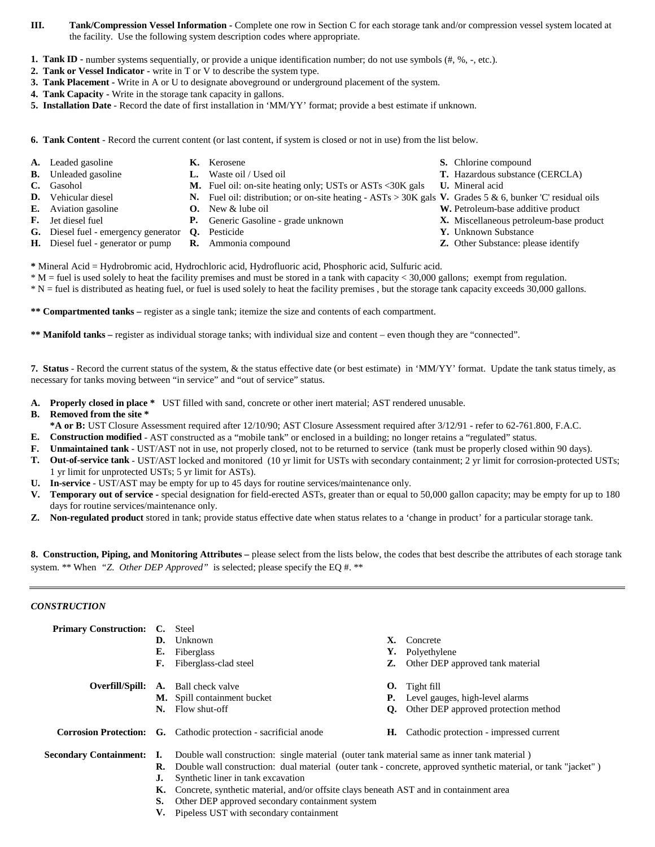- **III.** Tank/Compression Vessel Information Complete one row in Section C for each storage tank and/or compression vessel system located at the facility. Use the following system description codes where appropriate.
- **1. Tank ID -** number systems sequentially, or provide a unique identification number; do not use symbols (#, %, -, etc.).
- **2. Tank or Vessel Indicator** write in T or V to describe the system type.
- **3. Tank Placement** Write in A or U to designate aboveground or underground placement of the system.
- **4. Tank Capacity** Write in the storage tank capacity in gallons.
- **5. Installation Date**  Record the date of first installation in 'MM/YY' format; provide a best estimate if unknown.
- **6. Tank Content** Record the current content (or last content, if system is closed or not in use) from the list below.
- 
- 
- 
- **C.** Gasohol **M.** Fuel oil: on-site heating only; USTs or ASTs <30K gals **U.** Mineral acid
- **D.** Vehicular diesel **N.** Fuel oil: distribution; or on-site heating ASTs > 30K gals **V.** Grades 5 & 6, bunker 'C' residual oils
- **E.** Aviation gasoline **O.** New & lube oil **W.** Petroleum-base additive product
- 
- 
- **G.** Diesel fuel emergency generator **Q.** Pesticide **Y.** Unknown Substance
- **H.** Diesel fuel generator or pump **R.** Ammonia compound **Z.** Other Substance: please identify
- **\*** Mineral Acid = Hydrobromic acid, Hydrochloric acid, Hydrofluoric acid, Phosphoric acid, Sulfuric acid.
- \* M = fuel is used solely to heat the facility premises and must be stored in a tank with capacity < 30,000 gallons; exempt from regulation.
- \* N = fuel is distributed as heating fuel, or fuel is used solely to heat the facility premises , but the storage tank capacity exceeds 30,000 gallons.

**\*\* Compartmented tanks –** register as a single tank; itemize the size and contents of each compartment.

**\*\* Manifold tanks –** register as individual storage tanks; with individual size and content – even though they are "connected".

**7. Status** - Record the current status of the system, & the status effective date (or best estimate) in 'MM/YY' format. Update the tank status timely, as necessary for tanks moving between "in service" and "out of service" status.

**A. Properly closed in place \*** UST filled with sand, concrete or other inert material; AST rendered unusable.

## **B. Removed from the site \***

- **\*A or B:** UST Closure Assessment required after 12/10/90; AST Closure Assessment required after 3/12/91 refer to 62-761.800, F.A.C.
- **E. Construction modified** AST constructed as a "mobile tank" or enclosed in a building; no longer retains a "regulated" status.
- **F. Unmaintained tank** UST/AST not in use, not properly closed, not to be returned to service (tank must be properly closed within 90 days).
- **T. Out-of-service tank** UST/AST locked and monitored (10 yr limit for USTs with secondary containment; 2 yr limit for corrosion-protected USTs; 1 yr limit for unprotected USTs; 5 yr limit for ASTs).
- **U. In-service** UST/AST may be empty for up to 45 days for routine services/maintenance only.
- **V. Temporary out of service** special designation for field-erected ASTs, greater than or equal to 50,000 gallon capacity; may be empty for up to 180 days for routine services/maintenance only.
- **Z. Non-regulated product** stored in tank; provide status effective date when status relates to a 'change in product' for a particular storage tank.

**8. Construction, Piping, and Monitoring Attributes –** please select from the lists below, the codes that best describe the attributes of each storage tank system. \*\* When *"Z. Other DEP Approved"* is selected; please specify the EQ #. \*\*

# *CONSTRUCTION*

| <b>Primary Construction:</b> | Е.<br>F. | C. Steel<br><b>D.</b> Unknown<br>Fiberglass<br>Fiberglass-clad steel                                                                                                                                                                                               | Х.<br>Y.<br>Z. | Concrete<br>Polyethylene<br>Other DEP approved tank material |  |
|------------------------------|----------|--------------------------------------------------------------------------------------------------------------------------------------------------------------------------------------------------------------------------------------------------------------------|----------------|--------------------------------------------------------------|--|
| Overfill/Spill:              |          | <b>A.</b> Ball check valve                                                                                                                                                                                                                                         |                | $\mathbf{0}$ . Tight fill                                    |  |
|                              |          | <b>M.</b> Spill containment bucket                                                                                                                                                                                                                                 | Р.             | Level gauges, high-level alarms                              |  |
|                              | N.       | Flow shut-off                                                                                                                                                                                                                                                      | Q.             | Other DEP approved protection method                         |  |
|                              |          | <b>Corrosion Protection:</b> G. Cathodic protection - sacrificial anode                                                                                                                                                                                            | Н.             | Cathodic protection - impressed current                      |  |
| Secondary Containment: I.    |          | Double wall construction: single material (outer tank material same as inner tank material)                                                                                                                                                                        |                |                                                              |  |
|                              |          | <b>R.</b> Double wall construction: dual material (outer tank - concrete, approved synthetic material, or tank "jacket")<br>Synthetic liner in tank excavation<br><b>K.</b> Concrete, synthetic material, and/or offsite clays beneath AST and in containment area |                |                                                              |  |
|                              |          |                                                                                                                                                                                                                                                                    |                |                                                              |  |
|                              |          |                                                                                                                                                                                                                                                                    |                |                                                              |  |
|                              | S.       | Other DEP approved secondary containment system                                                                                                                                                                                                                    |                |                                                              |  |
|                              |          |                                                                                                                                                                                                                                                                    |                |                                                              |  |

**V.** Pipeless UST with secondary containment

- **A.** Leaded gasoline **K.** Kerosene **S.** Chlorine compound
- **B.** Unleaded gasoline **L.** Waste oil / Used oil **T.** Hazardous substance (CERCLA)
	-
	-
	-
- **F.** Jet diesel fuel **P.** Generic Gasoline grade unknown **X.** Miscellaneous petroleum-base product
	-
	-